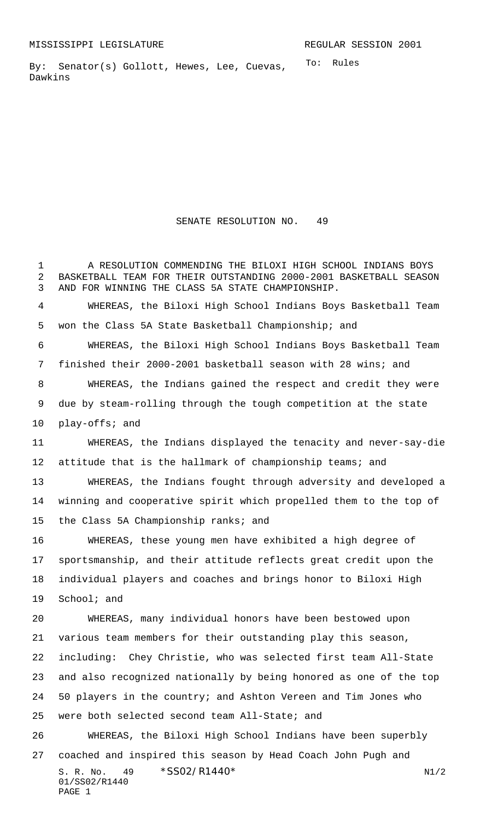To: Rules By: Senator(s) Gollott, Hewes, Lee, Cuevas, Dawkins

SENATE RESOLUTION NO. 49

S. R. No. 49 \* SS02/R1440\* N1/2 01/SS02/R1440 PAGE 1 A RESOLUTION COMMENDING THE BILOXI HIGH SCHOOL INDIANS BOYS BASKETBALL TEAM FOR THEIR OUTSTANDING 2000-2001 BASKETBALL SEASON AND FOR WINNING THE CLASS 5A STATE CHAMPIONSHIP. WHEREAS, the Biloxi High School Indians Boys Basketball Team won the Class 5A State Basketball Championship; and WHEREAS, the Biloxi High School Indians Boys Basketball Team finished their 2000-2001 basketball season with 28 wins; and WHEREAS, the Indians gained the respect and credit they were due by steam-rolling through the tough competition at the state play-offs; and WHEREAS, the Indians displayed the tenacity and never-say-die attitude that is the hallmark of championship teams; and WHEREAS, the Indians fought through adversity and developed a winning and cooperative spirit which propelled them to the top of the Class 5A Championship ranks; and WHEREAS, these young men have exhibited a high degree of sportsmanship, and their attitude reflects great credit upon the individual players and coaches and brings honor to Biloxi High School; and WHEREAS, many individual honors have been bestowed upon various team members for their outstanding play this season, including: Chey Christie, who was selected first team All-State and also recognized nationally by being honored as one of the top 50 players in the country; and Ashton Vereen and Tim Jones who were both selected second team All-State; and WHEREAS, the Biloxi High School Indians have been superbly coached and inspired this season by Head Coach John Pugh and